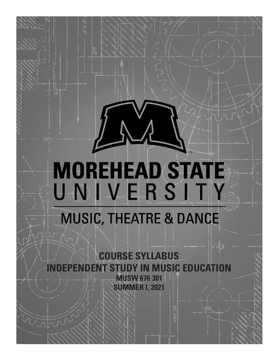# **MOREHEAD STATE** UNIVERSITY

# **MUSIC, THEATRE & DANCE**

**COURSE SYLLABUS INDEPENDENT STUDY IN MUSIC EDUCATION MUSW 676 301 SUMMER I, 2021**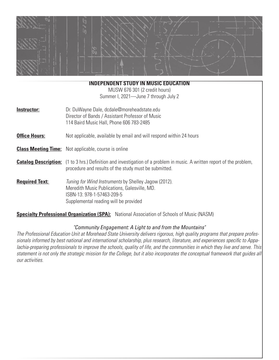

#### **INDEPENDENT STUDY IN MUSIC EDUCATION**

MUSW 676 301 (2 credit hours) Summer I, 2021—June 7 through July 2

| Instructor: | Dr. DuWayne Dale, dcdale@moreheadstate.edu       |  |
|-------------|--------------------------------------------------|--|
|             | Director of Bands / Assistant Professor of Music |  |
|             | 114 Baird Music Hall, Phone 606 783-2485         |  |

**Office Hours:** Not applicable, available by email and will respond within 24 hours

**Class Meeting Time:** Not applicable, course is online

- **Catalog Description:** (1 to 3 hrs.) Definition and investigation of a problem in music. A written report of the problem, procedure and results of the study must be submitted.
- **Required Text:** *Tuning for Wind Instruments* by Shelley Jagow (2012). Meredith Music Publications, Galesville, MD. ISBN-13: 978-1-57463-209-5 Supplemental reading will be provided

**Specialty Professional Organization (SPA):** National Association of Schools of Music (NASM)

#### *"Community Engagement: A Light to and from the Mountains"*

*The Professional Education Unit at Morehead State University delivers rigorous, high quality programs that prepare professionals informed by best national and international scholarship, plus research, literature, and experiences specific to Appalachia-preparing professionals to improve the schools, quality of life, and the communities in which they live and serve. This statement is not only the strategic mission for the College, but it also incorporates the conceptual framework that guides all our activities.*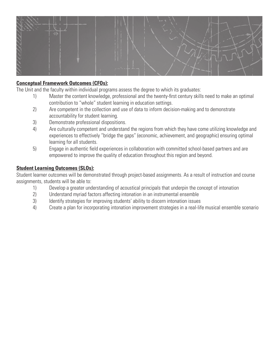

### **Conceptual Framework Outcomes (CFOs):**

The Unit and the faculty within individual programs assess the degree to which its graduates:

- 1) Master the content knowledge, professional and the twenty-first century skills need to make an optimal contribution to "whole" student learning in education settings.
- 2) Are competent in the collection and use of data to inform decision-making and to demonstrate accountability for student learning.
- 3) Demonstrate professional dispositions.
- 4) Are culturally competent and understand the regions from which they have come utilizing knowledge and experiences to effectively "bridge the gaps" (economic, achievement, and geographic) ensuring optimal learning for all students.
- 5) Engage in authentic field experiences in collaboration with committed school-based partners and are empowered to improve the quality of education throughout this region and beyond.

#### **Student Learning Outcomes (SLOs):**

Student learner outcomes will be demonstrated through project-based assignments. As a result of instruction and course assignments, students will be able to:

- 1) Develop a greater understanding of acoustical principals that underpin the concept of intonation
- 2) Understand myriad factors affecting intonation in an instrumental ensemble
- 3) Identify strategies for improving students' ability to discern intonation issues
- 4) Create a plan for incorporating intonation improvement strategies in a real-life musical ensemble scenario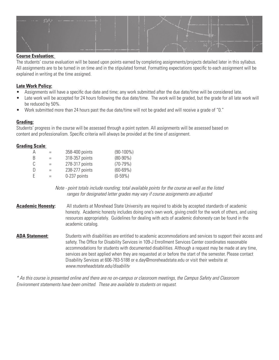

#### **Course Evaluation:**

The students' course evaluation will be based upon points earned by completing assignments/projects detailed later in this syllabus. All assignments are to be turned in on time and in the stipulated format. Formatting expectations specific to each assignment will be explained in writing at the time assigned.

#### **Late Work Policy:**

- Assignments will have a specific due date and time; any work submitted after the due date/time will be considered late.
- Late work will be accepted for 24 hours following the due date/time. The work will be graded, but the grade for all late work will be reduced by 50%.
- Work submitted more than 24 hours past the due date/time will not be graded and will receive a grade of "0."

#### **Grading:**

Students' progress in the course will be assessed through a point system. All assignments will be assessed based on content and professionalism. Specific criteria will always be provided at the time of assignment.

#### **Grading Scale**:

| Α  | $=$ | 358-400 points | $(90-100\%)$  |
|----|-----|----------------|---------------|
| B  | $=$ | 318-357 points | $(80 - 90\%)$ |
| C. | $=$ | 278-317 points | $(70-79%)$    |
| Ð  | $=$ | 238-277 points | $(60 - 69%)$  |
| E  | $=$ | 0-237 points   | $(0-59%)$     |

*Note - point totals include rounding; total available points for the course as well as the listed ranges for designated letter grades may vary if course assignments are adjusted*

- **Academic Honesty:** All students at Morehead State University are required to abide by accepted standards of academic honesty. Academic honesty includes doing one's own work, giving credit for the work of others, and using resources appropriately. Guidelines for dealing with acts of academic dishonesty can be found in the academic catalog.
- ADA Statement: Students with disabilities are entitled to academic accommodations and services to support their access and safety. The Office for Disability Services in 109-J Enrollment Services Center coordinates reasonable accommodations for students with documented disabilities. Although a request may be made at any time, services are best applied when they are requested at or before the start of the semester. Please contact Disability Services at 606-783-5188 or e.day@moreheadstate.edu or visit their website at *www.moreheadstate.edu/disabilitv*

*\* As this course is presented online and there are no on-campus or classroom meetings, the Campus Safety and Classroom Environment statements have been omitted. These are available to students on request.*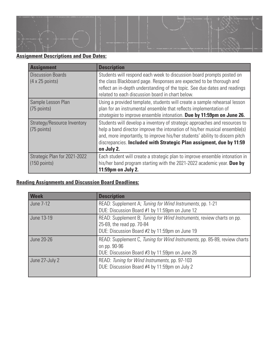

# **Assignment Descriptions and Due Dates:**

| <b>Assignment</b>              | <b>Description</b>                                                           |
|--------------------------------|------------------------------------------------------------------------------|
| Discussion Boards              | Students will respond each week to discussion board prompts posted on        |
| $(4 \times 25 \text{ points})$ | the class Blackboard page. Responses are expected to be thorough and         |
|                                | reflect an in-depth understanding of the topic. See due dates and readings   |
|                                | related to each discussion board in chart below.                             |
| Sample Lesson Plan             | Using a provided template, students will create a sample rehearsal lesson    |
| $(75$ points)                  | plan for an instrumental ensemble that reflects implementation of            |
|                                | strategies to improve ensemble intonation. Due by 11:59pm on June 26.        |
| Strategy/Resource Inventory    | Students will develop a inventory of strategic approaches and resources to   |
| $(75$ points)                  | help a band director improve the intonation of his/her musical ensemble(s)   |
|                                | and, more importantly, to improve his/her students' ability to discern pitch |
|                                | discrepancies. Included with Strategic Plan assigment, due by 11:59          |
|                                | on July 2.                                                                   |
| Strategic Plan for 2021-2022   | Each student will create a strategic plan to improve ensemble intonation in  |
| $(150$ points)                 | his/her band program starting with the 2021-2022 academic year. Due by       |
|                                | 11:59pm on July 2.                                                           |

## **Reading Assignments and Discussion Board Deadlines:**

| <b>Week</b>    | <b>Description</b>                                                                                                                                   |
|----------------|------------------------------------------------------------------------------------------------------------------------------------------------------|
| June 7-12      | READ: Supplement A; Tuning for Wind Instruments, pp. 1-21<br>DUE: Discussion Board #1 by 11:59pm on June 12                                          |
| June 13-19     | READ: Supplement B; Tuning for Wind Instruments, review charts on pp.<br>25-69, the read pp. 70-84<br>DUE: Discussion Board #2 by 11:59pm on June 19 |
| June 20-26     | READ: Supplement C, Tuning for Wind Instruments, pp. 85-89, review charts<br>on pp. 90-96<br>DUE: Discussion Board #3 by 11:59pm on June 26          |
| June 27-July 2 | READ: Tuning for Wind Instruments, pp. 97-103<br>DUE: Discussion Board #4 by 11:59pm on July 2                                                       |